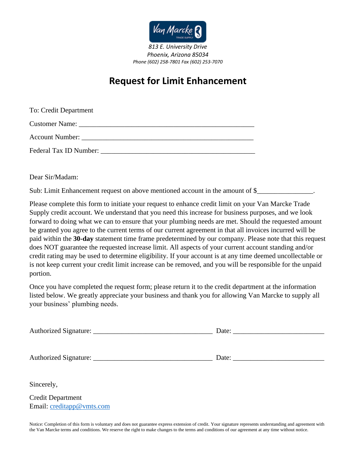

*Phoenix, Arizona 85034 Phone (602) 258-7801 Fax (602) 253-7070*

## **Request for Limit Enhancement**

| To: Credit Department  |
|------------------------|
|                        |
|                        |
| Federal Tax ID Number: |

Dear Sir/Madam:

Sub: Limit Enhancement request on above mentioned account in the amount of \$\_\_\_\_\_

Please complete this form to initiate your request to enhance credit limit on your Van Marcke Trade Supply credit account. We understand that you need this increase for business purposes, and we look forward to doing what we can to ensure that your plumbing needs are met. Should the requested amount be granted you agree to the current terms of our current agreement in that all invoices incurred will be paid within the **30-day** statement time frame predetermined by our company. Please note that this request does NOT guarantee the requested increase limit. All aspects of your current account standing and/or credit rating may be used to determine eligibility. If your account is at any time deemed uncollectable or is not keep current your credit limit increase can be removed, and you will be responsible for the unpaid portion.

Once you have completed the request form; please return it to the credit department at the information listed below. We greatly appreciate your business and thank you for allowing Van Marcke to supply all your business' plumbing needs.

| Sincerely,                |  |
|---------------------------|--|
| <b>Credit Department</b>  |  |
| Email: creditapp@vmts.com |  |

Notice: Completion of this form is voluntary and does not guarantee express extension of credit. Your signature represents understanding and agreement with the Van Marcke terms and conditions. We reserve the right to make changes to the terms and conditions of our agreement at any time without notice.